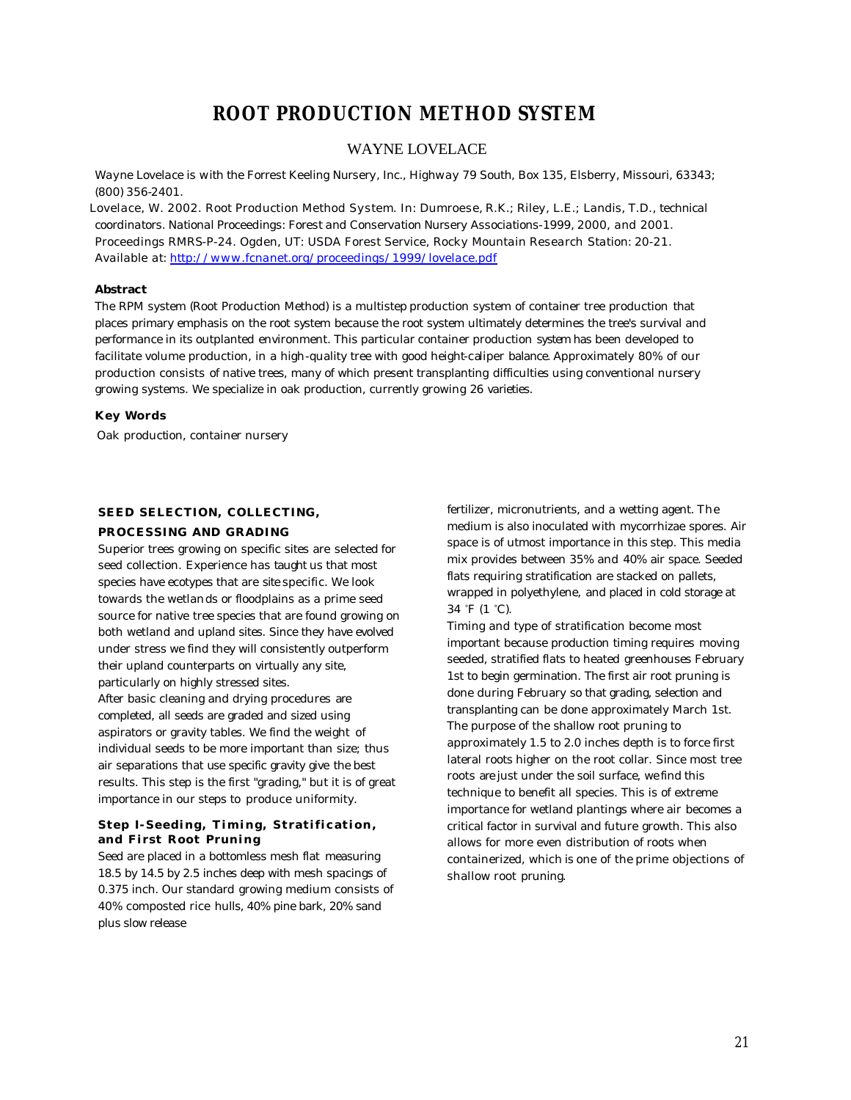# **ROOT PRODUCTION METHOD SYSTEM**

### WAYNE LOVELACE

*Wayne Lovelace is with the Forrest Keeling Nursery, Inc., Highway 79 South, Box 135, Elsberry, Missouri, 63343; (800) 356-2401.*

*Lovelace, W. 2002. Root Production Method System. In: Dumroese, R.K.; Riley, L.E.; Landis, T.D., technical coordinators. National Proceedings: Forest and Conservation Nursery Associations-1999, 2000, and 2001. Proceedings RMRS-P-24. Ogden, UT: USDA Forest Service, Rocky Mountain Research Station: 20-21. Available at: http://www.fcnanet.org/proceedings/1999/lovelace.pdf*

#### **Abstract**

The RPM system (Root Production Method) is a multistep production system of container tree production that places primary emphasis on the root system because the root system ultimately determines the tree's survival and performance in its outplanted environment. This particular container production system has been developed to facilitate volume production, in a high-quality tree with good height-caliper balance. Approximately 80% of our production consists of native trees, many of which present transplanting difficulties using conventional nursery growing systems. We specialize in oak production, currently growing 26 varieties.

#### **Key Words**

Oak production, container nursery

### **SEED SELECTION, COLLECTING,**

#### **PROCESSING AND GRADING**

Superior trees growing on specific sites are selected for seed collection. Experience has taught us that most species have ecotypes that are site specific. We look towards the wetlands or floodplains as a prime seed source for native tree species that are found growing on both wetland and upland sites. Since they have evolved under stress we find they will consistently outperform their upland counterparts on virtually any site, particularly on highly stressed sites.

After basic cleaning and drying procedures are completed, all seeds are graded and sized using aspirators or gravity tables. We find the weight of individual seeds to be more important than size; thus air separations that use specific gravity give the best results. This step is the first "grading," but it is of great importance in our steps to produce uniformity.

#### **Step I- Seeding, Timing, Stratification, and First Root Pruning**

Seed are placed in a bottomless mesh flat measuring 18.5 by 14.5 by 2.5 inches deep with mesh spacings of 0.375 inch. Our standard growing medium consists of 40% composted rice hulls, 40% pine bark, 20% sand plus slow release

fertilizer, micronutrients, and a wetting agent. The medium is also inoculated with mycorrhizae spores. Air space is of utmost importance in this step. This media mix provides between 35% and 40% air space. Seeded flats requiring stratification are stacked on pallets, wrapped in polyethylene, and placed in cold storage at 34 °F (1 °C).

Timing and type of stratification become most important because production timing requires moving seeded, stratified flats to heated greenhouses February 1st to begin germination. The first air root pruning is done during February so that grading, selection and transplanting can be done approximately March 1st. The purpose of the shallow root pruning to approximately 1.5 to 2.0 inches depth is to force first lateral roots higher on the root collar. Since most tree roots are just under the soil surface, we find this technique to benefit all species. This is of extreme importance for wetland plantings where air becomes a critical factor in survival and future growth. This also allows for more even distribution of roots when containerized, which is one of the prime objections of shallow root pruning.